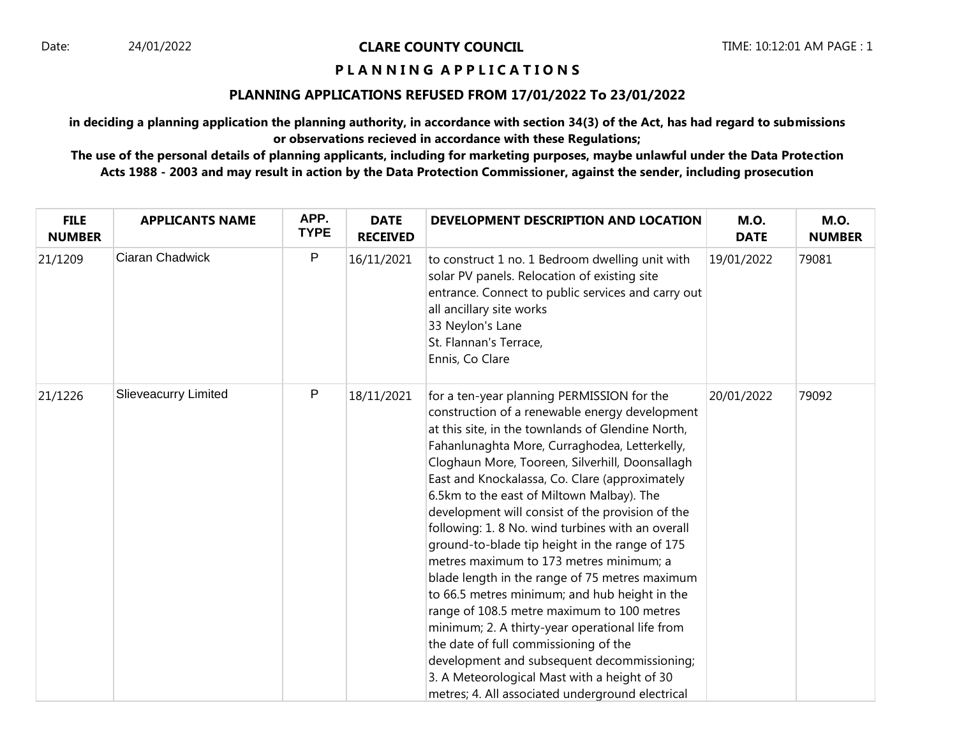# **P L A N N I N G A P P L I C A T I O N S**

#### **PLANNING APPLICATIONS REFUSED FROM 17/01/2022 To 23/01/2022**

**in deciding a planning application the planning authority, in accordance with section 34(3) of the Act, has had regard to submissions or observations recieved in accordance with these Regulations;**

**The use of the personal details of planning applicants, including for marketing purposes, maybe unlawful under the Data Protection Acts 1988 - 2003 and may result in action by the Data Protection Commissioner, against the sender, including prosecution**

| <b>FILE</b><br><b>NUMBER</b> | <b>APPLICANTS NAME</b>      | APP.<br><b>TYPE</b> | <b>DATE</b><br><b>RECEIVED</b> | DEVELOPMENT DESCRIPTION AND LOCATION                                                                                                                                                                                                                                                                                                                                                                                                                                                                                                                                                                                                                                                                                                                                                                                                                                                                                                                      | <b>M.O.</b><br><b>DATE</b> | <b>M.O.</b><br><b>NUMBER</b> |
|------------------------------|-----------------------------|---------------------|--------------------------------|-----------------------------------------------------------------------------------------------------------------------------------------------------------------------------------------------------------------------------------------------------------------------------------------------------------------------------------------------------------------------------------------------------------------------------------------------------------------------------------------------------------------------------------------------------------------------------------------------------------------------------------------------------------------------------------------------------------------------------------------------------------------------------------------------------------------------------------------------------------------------------------------------------------------------------------------------------------|----------------------------|------------------------------|
| 21/1209                      | Ciaran Chadwick             | P                   | 16/11/2021                     | to construct 1 no. 1 Bedroom dwelling unit with<br>solar PV panels. Relocation of existing site<br>entrance. Connect to public services and carry out<br>all ancillary site works<br>33 Neylon's Lane<br>St. Flannan's Terrace,<br>Ennis, Co Clare                                                                                                                                                                                                                                                                                                                                                                                                                                                                                                                                                                                                                                                                                                        | 19/01/2022                 | 79081                        |
| 21/1226                      | <b>Slieveacurry Limited</b> | $\mathsf{P}$        | 18/11/2021                     | for a ten-year planning PERMISSION for the<br>construction of a renewable energy development<br>at this site, in the townlands of Glendine North,<br>Fahanlunaghta More, Curraghodea, Letterkelly,<br>Cloghaun More, Tooreen, Silverhill, Doonsallagh<br>East and Knockalassa, Co. Clare (approximately<br>6.5km to the east of Miltown Malbay). The<br>development will consist of the provision of the<br>following: 1.8 No. wind turbines with an overall<br>ground-to-blade tip height in the range of 175<br>metres maximum to 173 metres minimum; a<br>blade length in the range of 75 metres maximum<br>to 66.5 metres minimum; and hub height in the<br>range of 108.5 metre maximum to 100 metres<br>minimum; 2. A thirty-year operational life from<br>the date of full commissioning of the<br>development and subsequent decommissioning;<br>3. A Meteorological Mast with a height of 30<br>metres; 4. All associated underground electrical | 20/01/2022                 | 79092                        |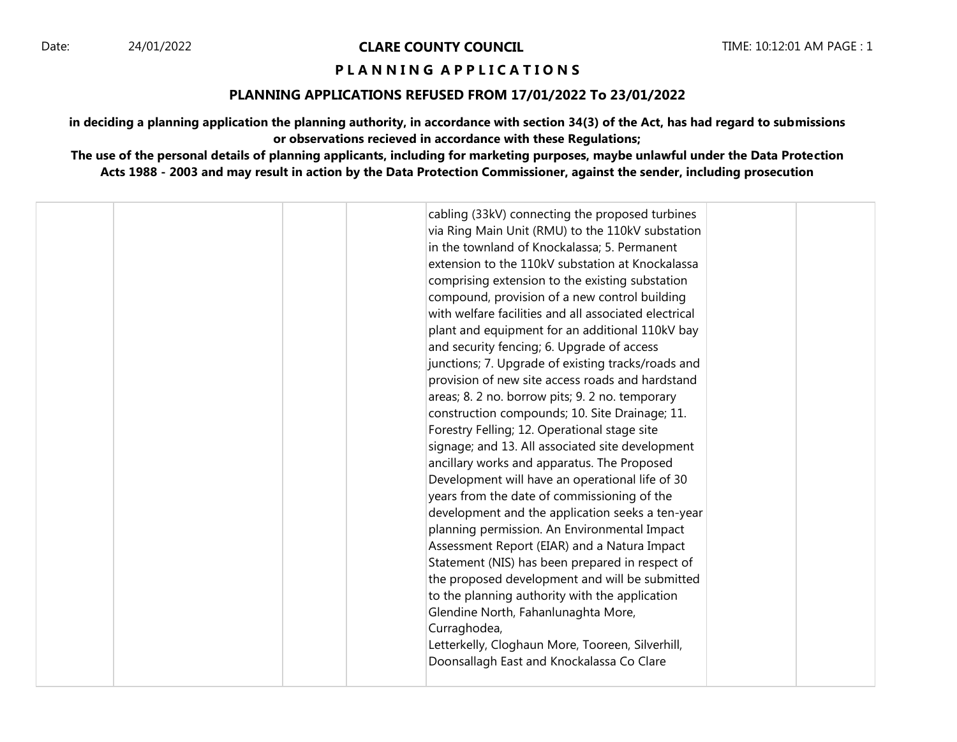# **P L A N N I N G A P P L I C A T I O N S**

#### **PLANNING APPLICATIONS REFUSED FROM 17/01/2022 To 23/01/2022**

**in deciding a planning application the planning authority, in accordance with section 34(3) of the Act, has had regard to submissions or observations recieved in accordance with these Regulations;**

**The use of the personal details of planning applicants, including for marketing purposes, maybe unlawful under the Data Protection Acts 1988 - 2003 and may result in action by the Data Protection Commissioner, against the sender, including prosecution**

|  | cabling (33kV) connecting the proposed turbines<br>via Ring Main Unit (RMU) to the 110kV substation<br>in the townland of Knockalassa; 5. Permanent<br>extension to the 110kV substation at Knockalassa<br>comprising extension to the existing substation<br>compound, provision of a new control building<br>with welfare facilities and all associated electrical<br>plant and equipment for an additional 110kV bay<br>and security fencing; 6. Upgrade of access<br>junctions; 7. Upgrade of existing tracks/roads and<br>provision of new site access roads and hardstand<br>areas; 8. 2 no. borrow pits; 9. 2 no. temporary<br>construction compounds; 10. Site Drainage; 11.<br>Forestry Felling; 12. Operational stage site<br>signage; and 13. All associated site development<br>ancillary works and apparatus. The Proposed<br>Development will have an operational life of 30<br>years from the date of commissioning of the<br>development and the application seeks a ten-year<br>planning permission. An Environmental Impact<br>Assessment Report (EIAR) and a Natura Impact<br>Statement (NIS) has been prepared in respect of<br>the proposed development and will be submitted<br>to the planning authority with the application<br>Glendine North, Fahanlunaghta More,<br>Curraghodea,<br>Letterkelly, Cloghaun More, Tooreen, Silverhill,<br>Doonsallagh East and Knockalassa Co Clare |  |  |
|--|--------------------------------------------------------------------------------------------------------------------------------------------------------------------------------------------------------------------------------------------------------------------------------------------------------------------------------------------------------------------------------------------------------------------------------------------------------------------------------------------------------------------------------------------------------------------------------------------------------------------------------------------------------------------------------------------------------------------------------------------------------------------------------------------------------------------------------------------------------------------------------------------------------------------------------------------------------------------------------------------------------------------------------------------------------------------------------------------------------------------------------------------------------------------------------------------------------------------------------------------------------------------------------------------------------------------------------------------------------------------------------------------------------------|--|--|
|--|--------------------------------------------------------------------------------------------------------------------------------------------------------------------------------------------------------------------------------------------------------------------------------------------------------------------------------------------------------------------------------------------------------------------------------------------------------------------------------------------------------------------------------------------------------------------------------------------------------------------------------------------------------------------------------------------------------------------------------------------------------------------------------------------------------------------------------------------------------------------------------------------------------------------------------------------------------------------------------------------------------------------------------------------------------------------------------------------------------------------------------------------------------------------------------------------------------------------------------------------------------------------------------------------------------------------------------------------------------------------------------------------------------------|--|--|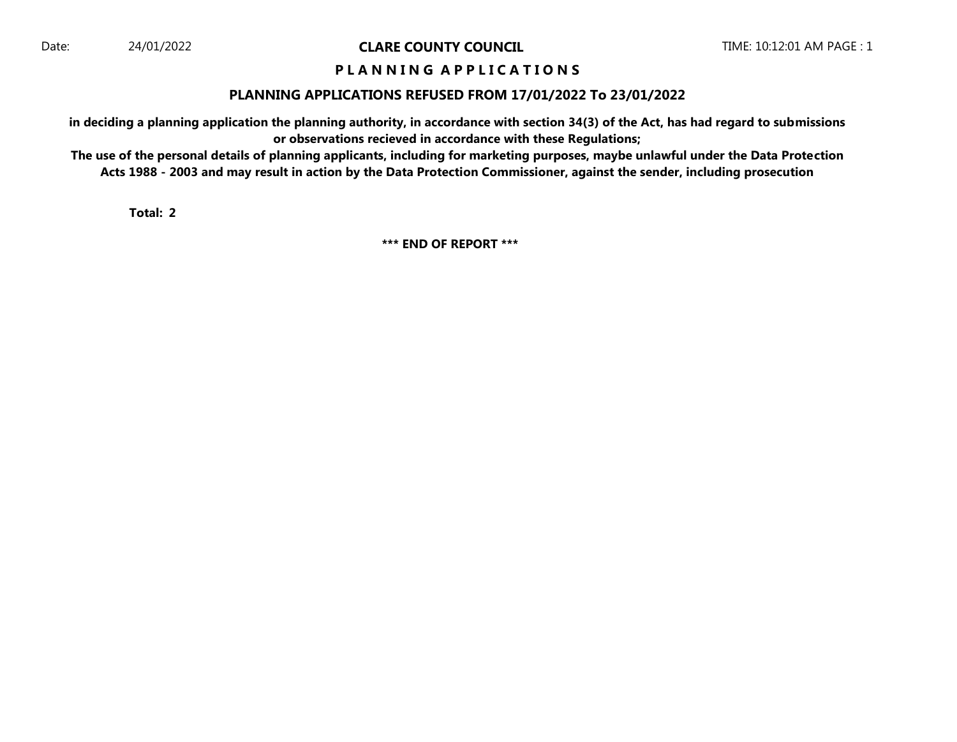# **P L A N N I N G A P P L I C A T I O N S**

#### **PLANNING APPLICATIONS REFUSED FROM 17/01/2022 To 23/01/2022**

**in deciding a planning application the planning authority, in accordance with section 34(3) of the Act, has had regard to submissions or observations recieved in accordance with these Regulations;**

**The use of the personal details of planning applicants, including for marketing purposes, maybe unlawful under the Data Protection Acts 1988 - 2003 and may result in action by the Data Protection Commissioner, against the sender, including prosecution**

**Total: 2**

**\*\*\* END OF REPORT \*\*\***